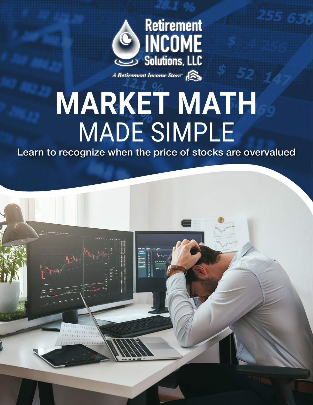

A Retirement Income Store<sup>®</sup>

# **MARKET MATH** MADE SIMPLE

Learn to recognize when the price of stocks are overvalued

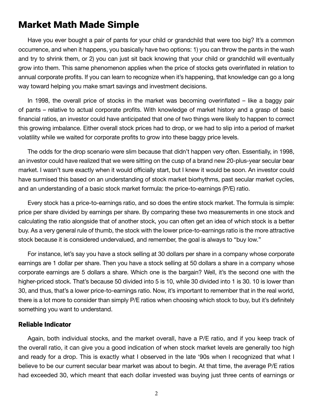### Market Math Made Simple

Have you ever bought a pair of pants for your child or grandchild that were too big? It's a common occurrence, and when it happens, you basically have two options: 1) you can throw the pants in the wash and try to shrink them, or 2) you can just sit back knowing that your child or grandchild will eventually grow into them. This same phenomenon applies when the price of stocks gets overinflated in relation to annual corporate profits. If you can learn to recognize when it's happening, that knowledge can go a long way toward helping you make smart savings and investment decisions.

In 1998, the overall price of stocks in the market was becoming overinflated – like a baggy pair of pants – relative to actual corporate profits. With knowledge of market history and a grasp of basic financial ratios, an investor could have anticipated that one of two things were likely to happen to correct this growing imbalance. Either overall stock prices had to drop, or we had to slip into a period of market volatility while we waited for corporate profits to grow into these baggy price levels.

The odds for the drop scenario were slim because that didn't happen very often. Essentially, in 1998, an investor could have realized that we were sitting on the cusp of a brand new 20-plus-year secular bear market. I wasn't sure exactly when it would officially start, but I knew it would be soon. An investor could have surmised this based on an understanding of stock market biorhythms, past secular market cycles, and an understanding of a basic stock market formula: the price-to-earnings (P/E) ratio.

Every stock has a price-to-earnings ratio, and so does the entire stock market. The formula is simple: price per share divided by earnings per share. By comparing these two measurements in one stock and calculating the ratio alongside that of another stock, you can often get an idea of which stock is a better buy. As a very general rule of thumb, the stock with the lower price-to-earnings ratio is the more attractive stock because it is considered undervalued, and remember, the goal is always to "buy low."

For instance, let's say you have a stock selling at 30 dollars per share in a company whose corporate earnings are 1 dollar per share. Then you have a stock selling at 50 dollars a share in a company whose corporate earnings are 5 dollars a share. Which one is the bargain? Well, it's the second one with the higher-priced stock. That's because 50 divided into 5 is 10, while 30 divided into 1 is 30. 10 is lower than 30, and thus, that's a lower price-to-earnings ratio. Now, it's important to remember that in the real world, there is a lot more to consider than simply P/E ratios when choosing which stock to buy, but it's definitely something you want to understand.

### Reliable Indicator

Again, both individual stocks, and the market overall, have a P/E ratio, and if you keep track of the overall ratio, it can give you a good indication of when stock market levels are generally too high and ready for a drop. This is exactly what I observed in the late '90s when I recognized that what I believe to be our current secular bear market was about to begin. At that time, the average P/E ratios had exceeded 30, which meant that each dollar invested was buying just three cents of earnings or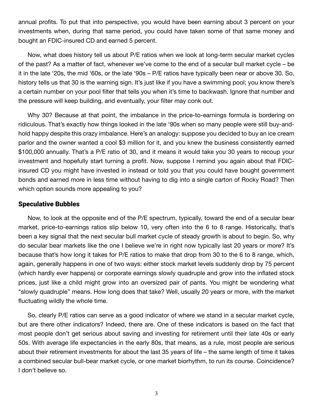annual profits. To put that into perspective, you would have been earning about 3 percent on your investments when, during that same period, you could have taken some of that same money and bought an FDIC-insured CD and earned 5 percent.

Now, what does history tell us about P/E ratios when we look at long-term secular market cycles of the past? As a matter of fact, whenever we've come to the end of a secular bull market cycle – be it in the late '20s, the mid '60s, or the late '90s – P/E ratios have typically been near or above 30. So, history tells us that 30 is the warning sign. It's just like if you have a swimming pool; you know there's a certain number on your pool filter that tells you when it's time to backwash. Ignore that number and the pressure will keep building, and eventually, your filter may conk out.

Why 30? Because at that point, the imbalance in the price-to-earnings formula is bordering on ridiculous. That's exactly how things looked in the late '90s when so many people were still buy-andhold happy despite this crazy imbalance. Here's an analogy: suppose you decided to buy an ice cream parlor and the owner wanted a cool \$3 million for it, and you knew the business consistently earned \$100,000 annually. That's a P/E ratio of 30, and it means it would take you 30 years to recoup your investment and hopefully start turning a profit. Now, suppose I remind you again about that FDICinsured CD you might have invested in instead or told you that you could have bought government bonds and earned more in less time without having to dig into a single carton of Rocky Road? Then which option sounds more appealing to you?

### Speculative Bubbles

Now, to look at the opposite end of the P/E spectrum, typically, toward the end of a secular bear market, price-to-earnings ratios slip below 10, very often into the 6 to 8 range. Historically, that's been a key signal that the next secular bull market cycle of steady growth is about to begin. So, why do secular bear markets like the one I believe we're in right now typically last 20 years or more? It's because that's how long it takes for P/E ratios to make that drop from 30 to the 6 to 8 range, which, again, generally happens in one of two ways: either stock market levels suddenly drop by 75 percent (which hardly ever happens) or corporate earnings slowly quadruple and grow into the inflated stock prices, just like a child might grow into an oversized pair of pants. You might be wondering what "slowly quadruple" means. How long does that take? Well, usually 20 years or more, with the market fluctuating wildly the whole time.

So, clearly P/E ratios can serve as a good indicator of where we stand in a secular market cycle, but are there other indicators? Indeed, there are. One of these indicators is based on the fact that most people don't get serious about saving and investing for retirement until their late 40s or early 50s. With average life expectancies in the early 80s, that means, as a rule, most people are serious about their retirement investments for about the last 35 years of life – the same length of time it takes a combined secular bull-bear market cycle, or one market biorhythm, to run its course. Coincidence? I don't believe so.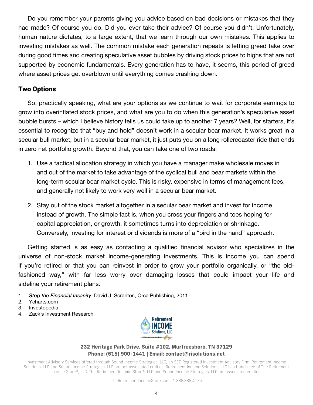Do you remember your parents giving you advice based on bad decisions or mistakes that they had made? Of course you do. Did you ever take their advice? Of course you didn't. Unfortunately, human nature dictates, to a large extent, that we learn through our own mistakes. This applies to investing mistakes as well. The common mistake each generation repeats is letting greed take over during good times and creating speculative asset bubbles by driving stock prices to highs that are not supported by economic fundamentals. Every generation has to have, it seems, this period of greed where asset prices get overblown until everything comes crashing down.

### Two Options

So, practically speaking, what are your options as we continue to wait for corporate earnings to grow into overinflated stock prices, and what are you to do when this generation's speculative asset bubble bursts – which I believe history tells us could take up to another 7 years? Well, for starters, it's essential to recognize that "buy and hold" doesn't work in a secular bear market. It works great in a secular bull market, but in a secular bear market, it just puts you on a long rollercoaster ride that ends in zero net portfolio growth. Beyond that, you can take one of two roads:

- 1. Use a tactical allocation strategy in which you have a manager make wholesale moves in and out of the market to take advantage of the cyclical bull and bear markets within the long-term secular bear market cycle. This is risky, expensive in terms of management fees, and generally not likely to work very well in a secular bear market.
- 2. Stay out of the stock market altogether in a secular bear market and invest for income instead of growth. The simple fact is, when you cross your fingers and toes hoping for capital appreciation, or growth, it sometimes turns into depreciation or shrinkage. Conversely, investing for interest or dividends is more of a "bird in the hand" approach.

Getting started is as easy as contacting a qualified financial advisor who specializes in the universe of non-stock market income-generating investments. This is income you can spend if you're retired or that you can reinvest in order to grow your portfolio organically, or "the oldfashioned way," with far less worry over damaging losses that could impact your life and sideline your retirement plans.

- 1. *Stop the Financial Insanity*, David J. Scranton, Orca Publishing, 2011
- 2. Ycharts.com
- 3. Investopedia
- 4. Zack's Investment Research



### **232 Heritage Park Drive, Suite #102, Murfreesboro, TN 37129 Phone: (615) 900-1441 | Email: contact@risolutions.net**

Investment Advisory Services offered through Sound Income Strategies, LLC, an SEC Registered Investment Advisory Firm. Retirement Income Solutions, LLC and Sound Income Strategies, LLC are not associated entities. Retirement Income Solutions, LLC is a franchisee of The Retirement Income Store®, LLC. The Retirement Income Store®, LLC and Sound Income Strategies, LLC are associated entities.

TheRetirementIncomeStore.com | 1.888.888.4176